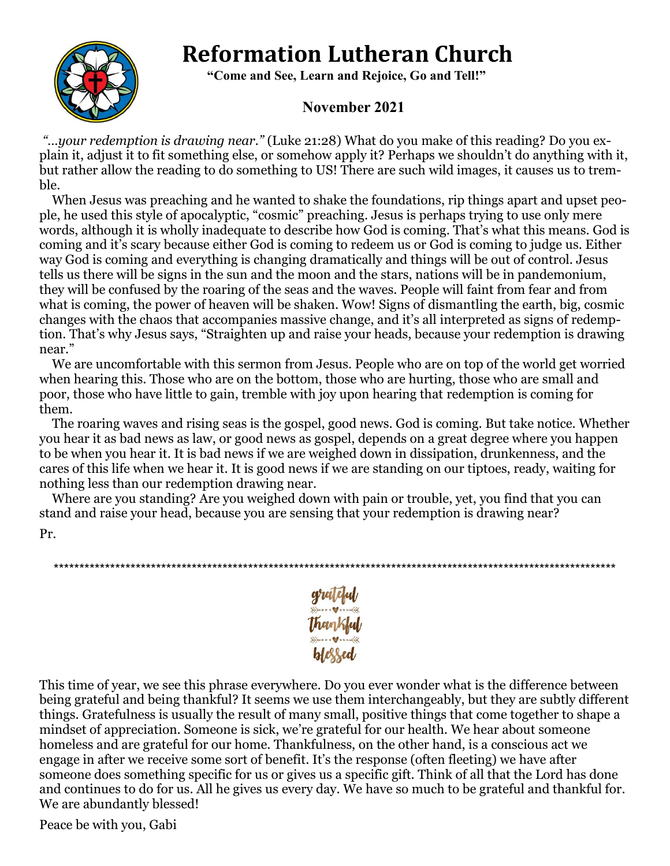# **Reformation Lutheran Church**



 **"Come and See, Learn and Rejoice, Go and Tell!"**

## **November 2021**

*"…your redemption is drawing near."* (Luke 21:28) What do you make of this reading? Do you explain it, adjust it to fit something else, or somehow apply it? Perhaps we shouldn't do anything with it, but rather allow the reading to do something to US! There are such wild images, it causes us to tremble.

When Jesus was preaching and he wanted to shake the foundations, rip things apart and upset people, he used this style of apocalyptic, "cosmic" preaching. Jesus is perhaps trying to use only mere words, although it is wholly inadequate to describe how God is coming. That's what this means. God is coming and it's scary because either God is coming to redeem us or God is coming to judge us. Either way God is coming and everything is changing dramatically and things will be out of control. Jesus tells us there will be signs in the sun and the moon and the stars, nations will be in pandemonium, they will be confused by the roaring of the seas and the waves. People will faint from fear and from what is coming, the power of heaven will be shaken. Wow! Signs of dismantling the earth, big, cosmic changes with the chaos that accompanies massive change, and it's all interpreted as signs of redemption. That's why Jesus says, "Straighten up and raise your heads, because your redemption is drawing near."

We are uncomfortable with this sermon from Jesus. People who are on top of the world get worried when hearing this. Those who are on the bottom, those who are hurting, those who are small and poor, those who have little to gain, tremble with joy upon hearing that redemption is coming for them.

The roaring waves and rising seas is the gospel, good news. God is coming. But take notice. Whether you hear it as bad news as law, or good news as gospel, depends on a great degree where you happen to be when you hear it. It is bad news if we are weighed down in dissipation, drunkenness, and the cares of this life when we hear it. It is good news if we are standing on our tiptoes, ready, waiting for nothing less than our redemption drawing near.

Where are you standing? Are you weighed down with pain or trouble, yet, you find that you can stand and raise your head, because you are sensing that your redemption is drawing near?

Pr.

\*\*\*\*\*\*\*\*\*\*\*\*\*\*\*\*\*\*\*\*\*\*\*\*\*\*\*\*\*\*\*\*\*\*\*\*\*\*\*\*\*\*\*\*\*\*\*\*\*\*\*\*\*\*\*\*\*\*\*\*\*\*\*\*\*\*\*\*\*\*\*\*\*\*\*\*\*\*\*\*\*\*\*\*\*\*\*\*\*\*\*\*\*\*\*\*\*\*\*\*\*\*\*\*\*\*\*\*\*\*



This time of year, we see this phrase everywhere. Do you ever wonder what is the difference between being grateful and being thankful? It seems we use them interchangeably, but they are subtly different things. Gratefulness is usually the result of many small, positive things that come together to shape a mindset of appreciation. Someone is sick, we're grateful for our health. We hear about someone homeless and are grateful for our home. Thankfulness, on the other hand, is a conscious act we engage in after we receive some sort of benefit. It's the response (often fleeting) we have after someone does something specific for us or gives us a specific gift. Think of all that the Lord has done and continues to do for us. All he gives us every day. We have so much to be grateful and thankful for. We are abundantly blessed!

Peace be with you, Gabi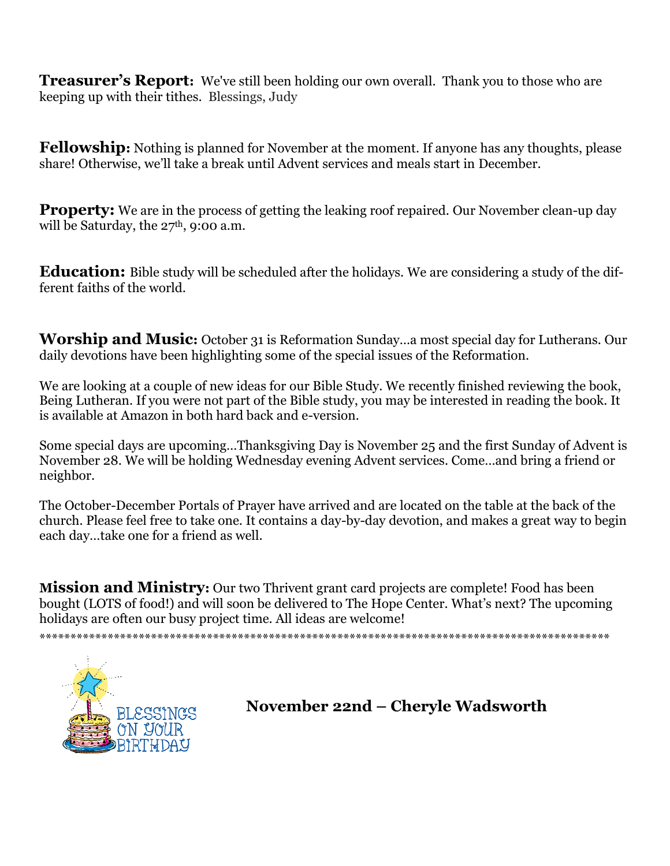**Treasurer's Report:** We've still been holding our own overall. Thank you to those who are keeping up with their tithes. Blessings, Judy

**Fellowship:** Nothing is planned for November at the moment. If anyone has any thoughts, please share! Otherwise, we'll take a break until Advent services and meals start in December.

**Property:** We are in the process of getting the leaking roof repaired. Our November clean-up day will be Saturday, the  $27<sup>th</sup>$ , 9:00 a.m.

**Education:** Bible study will be scheduled after the holidays. We are considering a study of the different faiths of the world.

**Worship and Music:** October 31 is Reformation Sunday...a most special day for Lutherans. Our daily devotions have been highlighting some of the special issues of the Reformation.

We are looking at a couple of new ideas for our Bible Study. We recently finished reviewing the book, Being Lutheran. If you were not part of the Bible study, you may be interested in reading the book. It is available at Amazon in both hard back and e-version.

Some special days are upcoming...Thanksgiving Day is November 25 and the first Sunday of Advent is November 28. We will be holding Wednesday evening Advent services. Come...and bring a friend or neighbor.

The October-December Portals of Praver have arrived and are located on the table at the back of the church. Please feel free to take one. It contains a day-by-day devotion, and makes a great way to begin each day...take one for a friend as well.

**Mission and Ministry:** Our two Thrivent grant card projects are complete! Food has been bought (LOTS of food!) and will soon be delivered to The Hope Center. What's next? The upcoming holidays are often our busy project time. All ideas are welcome!



November 22nd - Cheryle Wadsworth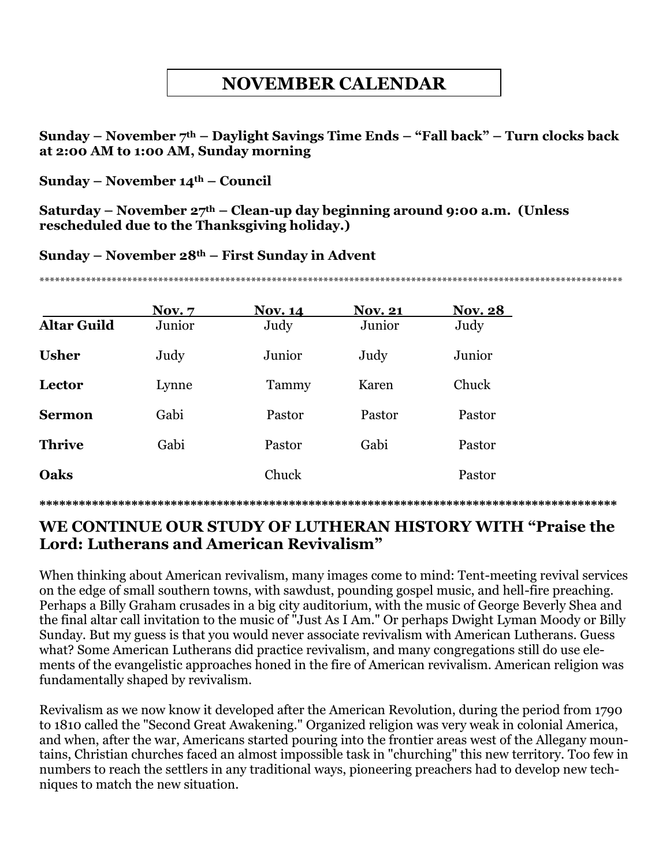# **NOVEMBER CALENDAR**

**Sunday – November 7th – Daylight Savings Time Ends – "Fall back" – Turn clocks back at 2:00 AM to 1:00 AM, Sunday morning**

**Sunday – November 14th – Council**

**Saturday – November 27th – Clean-up day beginning around 9:00 a.m. (Unless rescheduled due to the Thanksgiving holiday.)**

**Sunday – November 28th – First Sunday in Advent**

\*\*\*\*\*\*\*\*\*\*\*\*\*\*\*\*\*\*\*\*\*\*\*\*\*\*\*\*\*\*\*\*\*\*\*\*\*\*\*\*\*\*\*\*\*\*\*\*\*\*\*\*\*\*\*\*\*\*\*\*\*\*\*\*\*\*\*\*\*\*\*\*\*\*\*\*\*\*\*\*\*\*\*\*\*\*\*\*\*\*\*\*\*\*\*\*\*\*\*\*\*\*\*\*\*\*\*\*\*\*\*\*\*

|                    | <b>Nov.</b> 7 | <b>Nov. 14</b> | <b>Nov. 21</b> | <b>Nov. 28</b> |
|--------------------|---------------|----------------|----------------|----------------|
| <b>Altar Guild</b> | Junior        | Judy           | Junior         | Judy           |
| <b>Usher</b>       | Judy          | Junior         | Judy           | Junior         |
| Lector             | Lynne         | Tammy          | Karen          | Chuck          |
| <b>Sermon</b>      | Gabi          | Pastor         | Pastor         | Pastor         |
| <b>Thrive</b>      | Gabi          | Pastor         | Gabi           | Pastor         |
| Oaks               |               | Chuck          |                | Pastor         |
|                    |               |                |                |                |

**\*\*\*\*\*\*\*\*\*\*\*\*\*\*\*\*\*\*\*\*\*\*\*\*\*\*\*\*\*\*\*\*\*\*\*\*\*\*\*\*\*\*\*\*\*\*\*\*\*\*\*\*\*\*\*\*\*\*\*\*\*\*\*\*\*\*\*\*\*\*\*\*\*\*\*\*\*\*\*\*\*\*\*\*\*\*\*\***

### **WE CONTINUE OUR STUDY OF LUTHERAN HISTORY WITH "Praise the Lord: Lutherans and American Revivalism"**

When thinking about American revivalism, many images come to mind: Tent-meeting revival services on the edge of small southern towns, with sawdust, pounding gospel music, and hell-fire preaching. Perhaps a Billy Graham crusades in a big city auditorium, with the music of George Beverly Shea and the final altar call invitation to the music of "Just As I Am." Or perhaps Dwight Lyman Moody or Billy Sunday. But my guess is that you would never associate revivalism with American Lutherans. Guess what? Some American Lutherans did practice revivalism, and many congregations still do use elements of the evangelistic approaches honed in the fire of American revivalism. American religion was fundamentally shaped by revivalism.

Revivalism as we now know it developed after the American Revolution, during the period from 1790 to 1810 called the "Second Great Awakening." Organized religion was very weak in colonial America, and when, after the war, Americans started pouring into the frontier areas west of the Allegany mountains, Christian churches faced an almost impossible task in "churching" this new territory. Too few in numbers to reach the settlers in any traditional ways, pioneering preachers had to develop new techniques to match the new situation.